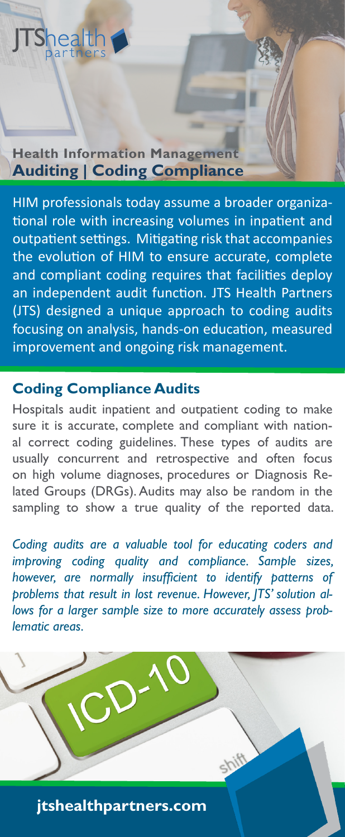#### **Auditing | Coding Compliance Health Information Management**

HIM professionals today assume a broader organizational role with increasing volumes in inpatient and outpatient settings. Mitigating risk that accompanies the evolution of HIM to ensure accurate, complete and compliant coding requires that facilities deploy an independent audit function. JTS Health Partners (JTS) designed a unique approach to coding audits focusing on analysis, hands-on education, measured improvement and ongoing risk management.

# **Coding Compliance Audits**

Hospitals audit inpatient and outpatient coding to make sure it is accurate, complete and compliant with national correct coding guidelines. These types of audits are usually concurrent and retrospective and often focus on high volume diagnoses, procedures or Diagnosis Related Groups (DRGs). Audits may also be random in the sampling to show a true quality of the reported data.

*Coding audits are a valuable tool for educating coders and improving coding quality and compliance. Sample sizes, however, are normally insufficient to identify patterns of problems that result in lost revenue. However, JTS' solution allows for a larger sample size to more accurately assess problematic areas.*

**jtshealthpartners.com**